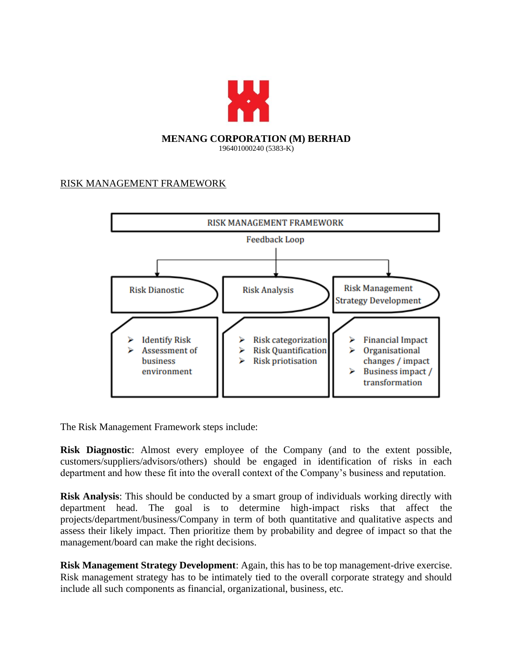

## RISK MANAGEMENT FRAMEWORK



The Risk Management Framework steps include:

**Risk Diagnostic**: Almost every employee of the Company (and to the extent possible, customers/suppliers/advisors/others) should be engaged in identification of risks in each department and how these fit into the overall context of the Company's business and reputation.

**Risk Analysis**: This should be conducted by a smart group of individuals working directly with department head. The goal is to determine high-impact risks that affect the projects/department/business/Company in term of both quantitative and qualitative aspects and assess their likely impact. Then prioritize them by probability and degree of impact so that the management/board can make the right decisions.

**Risk Management Strategy Development**: Again, this has to be top management-drive exercise. Risk management strategy has to be intimately tied to the overall corporate strategy and should include all such components as financial, organizational, business, etc.